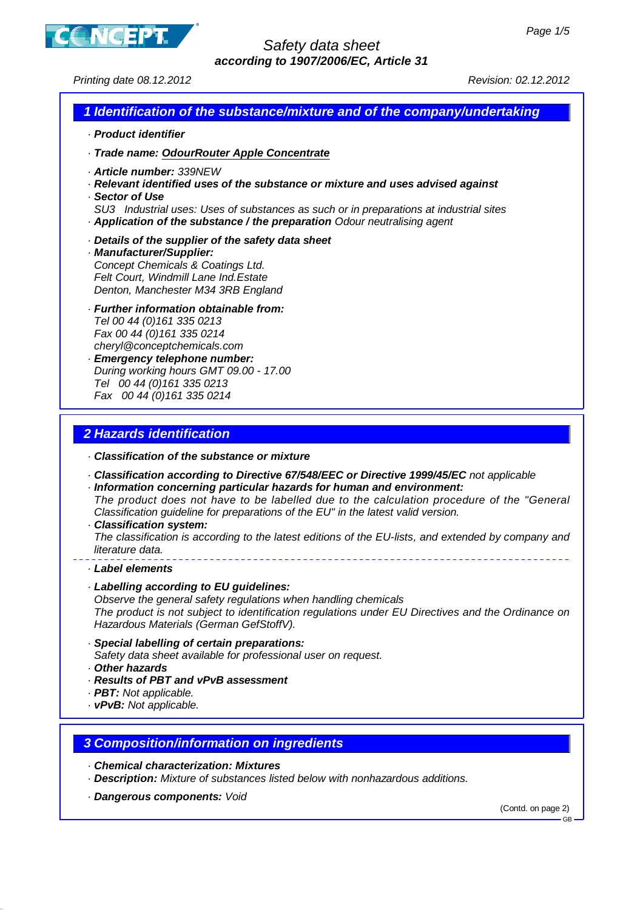

## Safety data sheet **according to 1907/2006/EC, Article 31**

Printing date 08.12.2012 Revision: 02.12.2012

### **1 Identification of the substance/mixture and of the company/undertaking**

- · **Product identifier**
- · **Trade name: OdourRouter Apple Concentrate**
- · **Article number:** 339NEW
- · **Relevant identified uses of the substance or mixture and uses advised against**
- · **Sector of Use**
- SU3 Industrial uses: Uses of substances as such or in preparations at industrial sites · **Application of the substance / the preparation** Odour neutralising agent
- · **Details of the supplier of the safety data sheet**
- · **Manufacturer/Supplier:** Concept Chemicals & Coatings Ltd. Felt Court, Windmill Lane Ind.Estate Denton, Manchester M34 3RB England
- · **Further information obtainable from:** Tel 00 44 (0)161 335 0213 Fax 00 44 (0)161 335 0214 cheryl@conceptchemicals.com · **Emergency telephone number:**
- During working hours GMT 09.00 17.00 Tel 00 44 (0)161 335 0213 Fax 00 44 (0)161 335 0214

# **2 Hazards identification**

- · **Classification of the substance or mixture**
- · **Classification according to Directive 67/548/EEC or Directive 1999/45/EC** not applicable
- · **Information concerning particular hazards for human and environment:** The product does not have to be labelled due to the calculation procedure of the "General Classification guideline for preparations of the EU" in the latest valid version.
- · **Classification system:**

The classification is according to the latest editions of the EU-lists, and extended by company and literature data.

- · **Label elements**
- · **Labelling according to EU guidelines:**

Observe the general safety regulations when handling chemicals The product is not subject to identification regulations under EU Directives and the Ordinance on Hazardous Materials (German GefStoffV).

- · **Special labelling of certain preparations:** Safety data sheet available for professional user on request.
- · **Other hazards**
- 
- · **Results of PBT and vPvB assessment**
- · **PBT:** Not applicable.
- · **vPvB:** Not applicable.
- **3 Composition/information on ingredients**
- · **Chemical characterization: Mixtures**
- · **Description:** Mixture of substances listed below with nonhazardous additions.
- · **Dangerous components:** Void

(Contd. on page 2)

GB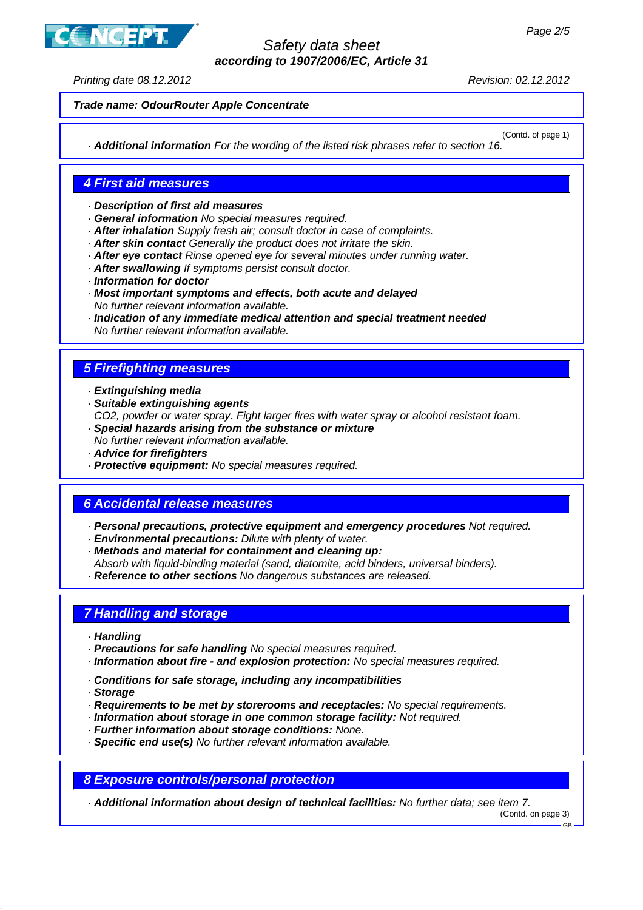

# Safety data sheet **according to 1907/2006/EC, Article 31**

Printing date 08.12.2012 Revision: 02.12.2012

# **Trade name: OdourRouter Apple Concentrate**

(Contd. of page 1) · **Additional information** For the wording of the listed risk phrases refer to section 16.

## **4 First aid measures**

- · **Description of first aid measures**
- · **General information** No special measures required.
- · **After inhalation** Supply fresh air; consult doctor in case of complaints.
- · **After skin contact** Generally the product does not irritate the skin.
- · **After eye contact** Rinse opened eye for several minutes under running water.
- · **After swallowing** If symptoms persist consult doctor.
- · **Information for doctor**
- · **Most important symptoms and effects, both acute and delayed** No further relevant information available.
- · **Indication of any immediate medical attention and special treatment needed** No further relevant information available.

## **5 Firefighting measures**

- · **Extinguishing media**
- · **Suitable extinguishing agents**
- CO2, powder or water spray. Fight larger fires with water spray or alcohol resistant foam. · **Special hazards arising from the substance or mixture**
- No further relevant information available.
- · **Advice for firefighters**
- · **Protective equipment:** No special measures required.

### **6 Accidental release measures**

- · **Personal precautions, protective equipment and emergency procedures** Not required.
- · **Environmental precautions:** Dilute with plenty of water.
- · **Methods and material for containment and cleaning up:**
- Absorb with liquid-binding material (sand, diatomite, acid binders, universal binders).
- · **Reference to other sections** No dangerous substances are released.

### **7 Handling and storage**

- · **Handling**
- · **Precautions for safe handling** No special measures required.
- · **Information about fire and explosion protection:** No special measures required.
- · **Conditions for safe storage, including any incompatibilities**
- · **Storage**
- · **Requirements to be met by storerooms and receptacles:** No special requirements.
- · **Information about storage in one common storage facility:** Not required.
- · **Further information about storage conditions:** None.
- · **Specific end use(s)** No further relevant information available.

**8 Exposure controls/personal protection**

· **Additional information about design of technical facilities:** No further data; see item 7.

(Contd. on page 3)

<sup>.&</sup>lt;br>CR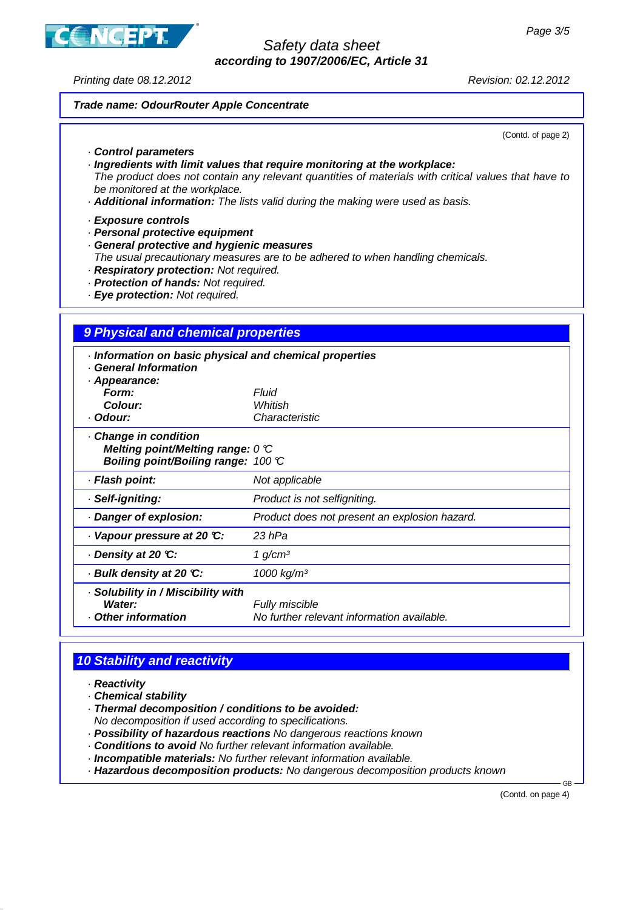**ICEPT** 

# Safety data sheet **according to 1907/2006/EC, Article 31**

Printing date 08.12.2012 Revision: 02.12.2012

### **Trade name: OdourRouter Apple Concentrate**

(Contd. of page 2)

#### · **Control parameters**

· **Ingredients with limit values that require monitoring at the workplace:**

The product does not contain any relevant quantities of materials with critical values that have to be monitored at the workplace.

· **Additional information:** The lists valid during the making were used as basis.

#### · **Exposure controls**

- · **Personal protective equipment**
- · **General protective and hygienic measures**
- The usual precautionary measures are to be adhered to when handling chemicals.
- · **Respiratory protection:** Not required.
- · **Protection of hands:** Not required.
- · **Eye protection:** Not required.

### **9 Physical and chemical properties**

| Information on basic physical and chemical properties<br><b>General Information</b><br>· Appearance:         |                                                              |
|--------------------------------------------------------------------------------------------------------------|--------------------------------------------------------------|
| Form:                                                                                                        | Fluid                                                        |
| Colour:                                                                                                      | Whitish                                                      |
| · Odour:                                                                                                     | Characteristic                                               |
| Change in condition<br>Melting point/Melting range: $0 \, \mathbb{C}$<br>Boiling point/Boiling range: 100 °C |                                                              |
| · Flash point:                                                                                               | Not applicable                                               |
| · Self-igniting:                                                                                             | Product is not selfigniting.                                 |
| Danger of explosion:                                                                                         | Product does not present an explosion hazard.                |
| Vapour pressure at 20 °C:                                                                                    | 23 hPa                                                       |
| ⋅ Density at 20 ℃:                                                                                           | 1 g/cm <sup>3</sup>                                          |
| ⋅ Bulk density at 20 ℃:                                                                                      | 1000 kg/m <sup>3</sup>                                       |
| · Solubility in / Miscibility with<br>Water:<br>Other information                                            | Fully miscible<br>No further relevant information available. |

# **10 Stability and reactivity**

- · **Reactivity**
- · **Chemical stability**
- · **Thermal decomposition / conditions to be avoided:**

No decomposition if used according to specifications.

- · **Possibility of hazardous reactions** No dangerous reactions known
- · **Conditions to avoid** No further relevant information available.
- · **Incompatible materials:** No further relevant information available.
- · **Hazardous decomposition products:** No dangerous decomposition products known

(Contd. on page 4)

GB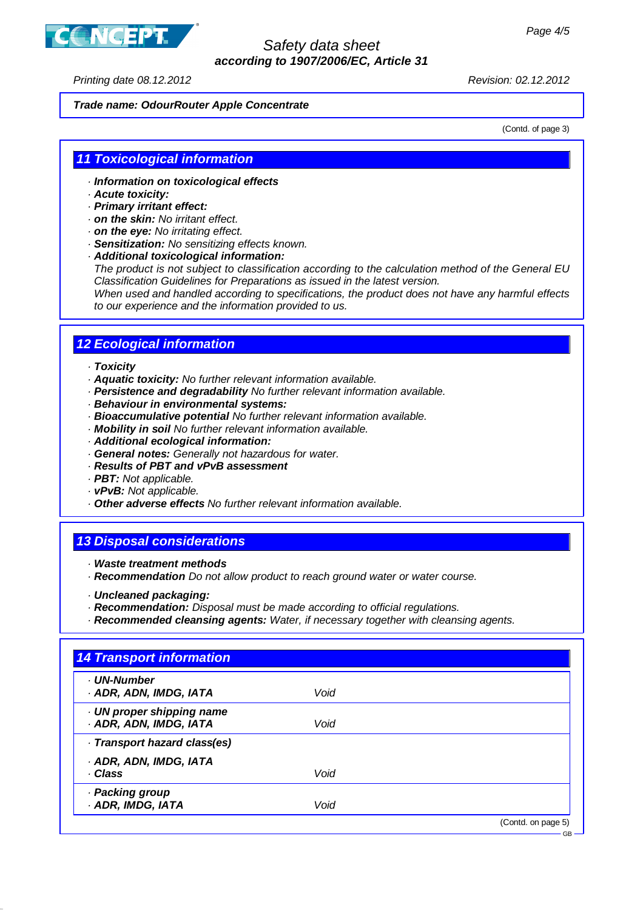

## Safety data sheet **according to 1907/2006/EC, Article 31**

Printing date 08.12.2012 Revision: 02.12.2012

### **Trade name: OdourRouter Apple Concentrate**

(Contd. of page 3)

### **11 Toxicological information**

- · **Information on toxicological effects**
- · **Acute toxicity:**
- · **Primary irritant effect:**
- · **on the skin:** No irritant effect.
- · **on the eye:** No irritating effect.
- · **Sensitization:** No sensitizing effects known.
- · **Additional toxicological information:**

The product is not subject to classification according to the calculation method of the General EU Classification Guidelines for Preparations as issued in the latest version.

When used and handled according to specifications, the product does not have any harmful effects to our experience and the information provided to us.

## **12 Ecological information**

#### · **Toxicity**

- · **Aquatic toxicity:** No further relevant information available.
- · **Persistence and degradability** No further relevant information available.
- · **Behaviour in environmental systems:**
- · **Bioaccumulative potential** No further relevant information available.
- · **Mobility in soil** No further relevant information available.
- · **Additional ecological information:**
- · **General notes:** Generally not hazardous for water.
- · **Results of PBT and vPvB assessment**
- · **PBT:** Not applicable.
- · **vPvB:** Not applicable.
- · **Other adverse effects** No further relevant information available.

### **13 Disposal considerations**

- · **Waste treatment methods**
- · **Recommendation** Do not allow product to reach ground water or water course.
- · **Uncleaned packaging:**
- · **Recommendation:** Disposal must be made according to official regulations.
- · **Recommended cleansing agents:** Water, if necessary together with cleansing agents.

| <b>UN-Number</b>                                    |      |  |
|-----------------------------------------------------|------|--|
| · ADR, ADN, IMDG, IATA                              | Void |  |
| · UN proper shipping name<br>· ADR, ADN, IMDG, IATA | Void |  |
| · Transport hazard class(es)                        |      |  |
| · ADR, ADN, IMDG, IATA                              |      |  |
| · Class                                             | Void |  |
| · Packing group                                     |      |  |
| · ADR, IMDG, IATA                                   | Void |  |